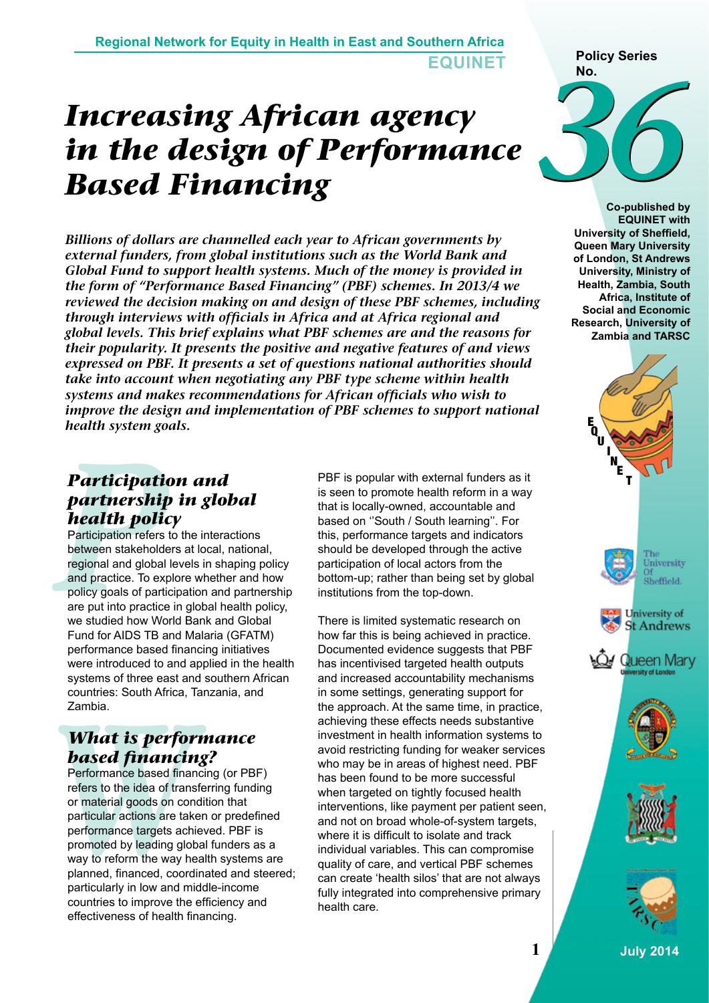## *Increasing African agency in the design of Performance Based Financing*

*Billions of dollars are channelled each year to African governments by external funders, from global institutions such as the World Bank and Global Fund to support health systems. Much of the money is provided in the form of "Performance Based Financing" (PBF) schemes. In 2013/4 we reviewed the decision making on and design of these PBF schemes, including through interviews with officials in Africa and at Africa regional and global levels. This brief explains what PBF schemes are and the reasons for their popularity. It presents the positive and negative features of and views expressed on PBF. It presents a set of questions national authorities should take into account when negotiating any PBF type scheme within health systems and makes recommendations for African officials who wish to improve the design and implementation of PBF schemes to support national health system goals.* 

## *Participation and partnership in global health policy*

**Participation**<br> **partnership**<br> **health polic**<br>
Participation refers between stakeholde<br>
regional and global<br>
and practice. To expolicy goals of partic<br>
are put into practice<br>
we studied how Wo Participation refers to the interactions between stakeholders at local, national, regional and global levels in shaping policy and practice. To explore whether and how policy goals of participation and partnership are put into practice in global health policy, we studied how World Bank and Global Fund for AIDS TB and Malaria (GFATM) performance based financing initiatives were introduced to and applied in the health systems of three east and southern African countries: South Africa, Tanzania, and Zambia.

## *What is performance based financing?*

countries: South Ainca, 1<br>
Zambia.<br> **What is perform**<br> **Performance based finances**<br>
Performance based finance<br>
reformance based finances<br>
or material goods on connections<br>
performance targets achieved by leading glob<br>
way Performance based financing (or PBF) refers to the idea of transferring funding or material goods on condition that particular actions are taken or predefined performance targets achieved. PBF is promoted by leading global funders as a way to reform the way health systems are planned, financed, coordinated and steered; particularly in low and middle-income countries to improve the efficiency and effectiveness of health financing.

PBF is popular with external funders as it is seen to promote health reform in a way that is locally-owned, accountable and based on ''South / South learning''. For this, performance targets and indicators should be developed through the active participation of local actors from the bottom-up; rather than being set by global institutions from the top-down.

There is limited systematic research on how far this is being achieved in practice. Documented evidence suggests that PBF has incentivised targeted health outputs and increased accountability mechanisms in some settings, generating support for the approach. At the same time, in practice, achieving these effects needs substantive investment in health information systems to avoid restricting funding for weaker services who may be in areas of highest need. PBF has been found to be more successful when targeted on tightly focused health interventions, like payment per patient seen, and not on broad whole-of-system targets, where it is difficult to isolate and track individual variables. This can compromise quality of care, and vertical PBF schemes can create 'health silos' that are not always fully integrated into comprehensive primary health care.

# 36 **Policy Series No.**

**Co-published by EQUINET with University of Sheffield, Queen Mary University of London, St Andrews University, Ministry of Health, Zambia, South Africa, Institute of Social and Economic Research, University of Zambia and TARSC**

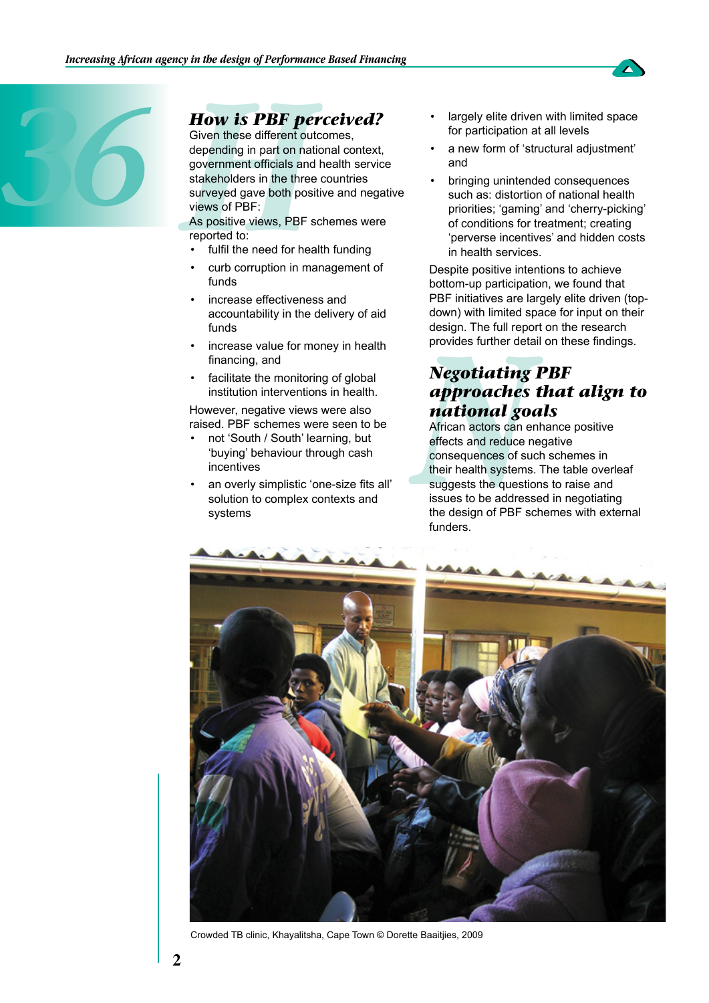

**How is PBF peromic COM**<br>Given these different out<br>depending in part on nat<br>government officials and<br>stakeholders in the three<br>surveyed gave both posi<br>views of PBF:<br>As positive views, PBF s<br>reported to:<br>• fulfil the need f Given these different outcomes, depending in part on national context, government officials and health service stakeholders in the three countries surveyed gave both positive and negative views of PBF:

As positive views, PBF schemes were reported to:

- fulfil the need for health funding
- curb corruption in management of funds
- increase effectiveness and accountability in the delivery of aid funds
- increase value for money in health financing, and
- facilitate the monitoring of global institution interventions in health.

However, negative views were also raised. PBF schemes were seen to be

- not 'South / South' learning, but 'buying' behaviour through cash incentives
- an overly simplistic 'one-size fits all' solution to complex contexts and systems
- largely elite driven with limited space for participation at all levels
- a new form of 'structural adjustment' and
- bringing unintended consequences such as: distortion of national health priorities; 'gaming' and 'cherry-picking' of conditions for treatment; creating 'perverse incentives' and hidden costs in health services.

Despite positive intentions to achieve bottom-up participation, we found that PBF initiatives are largely elite driven (topdown) with limited space for input on their design. The full report on the research provides further detail on these findings.

## *Negotiating PBF approaches that align to national goals*

design. The full reposition of the provides further details are provides further details and **all provides** and reduce reflects and reduce reflects and reduce reflects and reduce reflects and reduce reflects and reduce the African actors can enhance positive effects and reduce negative consequences of such schemes in their health systems. The table overleaf suggests the questions to raise and issues to be addressed in negotiating the design of PBF schemes with external funders.



Crowded TB clinic, Khayalitsha, Cape Town © Dorette Baaitjies, 2009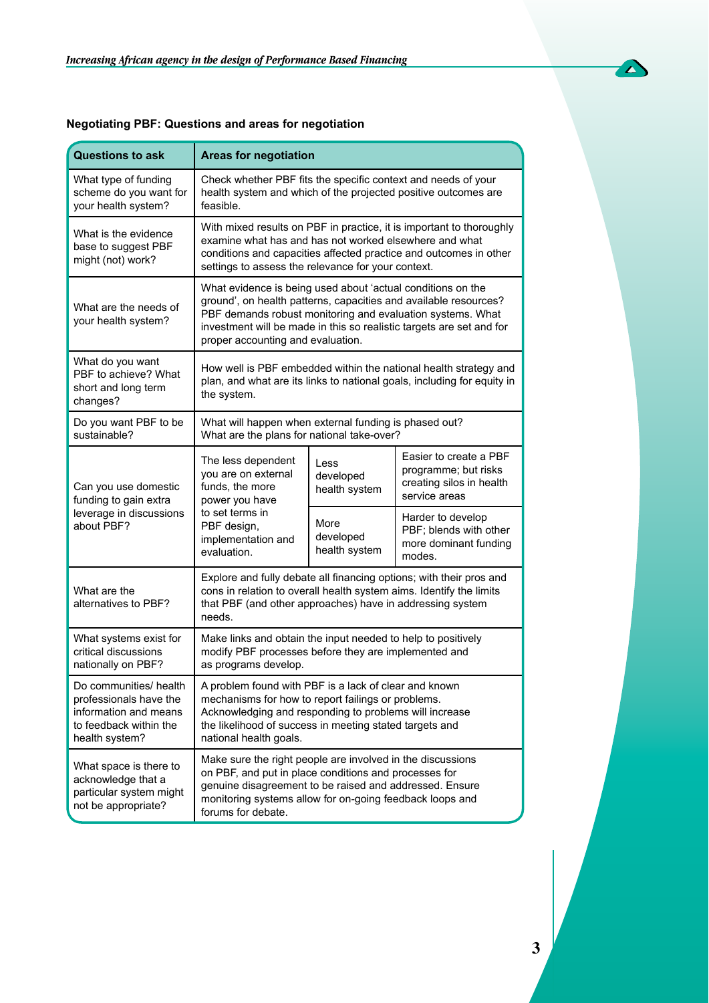

| <b>Questions to ask</b>                                                                                               | <b>Areas for negotiation</b>                                                                                                                                                                                                                                                                               |                                    |                                                                                             |
|-----------------------------------------------------------------------------------------------------------------------|------------------------------------------------------------------------------------------------------------------------------------------------------------------------------------------------------------------------------------------------------------------------------------------------------------|------------------------------------|---------------------------------------------------------------------------------------------|
| What type of funding<br>scheme do you want for<br>your health system?                                                 | Check whether PBF fits the specific context and needs of your<br>health system and which of the projected positive outcomes are<br>feasible.                                                                                                                                                               |                                    |                                                                                             |
| What is the evidence<br>base to suggest PBF<br>might (not) work?                                                      | With mixed results on PBF in practice, it is important to thoroughly<br>examine what has and has not worked elsewhere and what<br>conditions and capacities affected practice and outcomes in other<br>settings to assess the relevance for your context.                                                  |                                    |                                                                                             |
| What are the needs of<br>your health system?                                                                          | What evidence is being used about 'actual conditions on the<br>ground', on health patterns, capacities and available resources?<br>PBF demands robust monitoring and evaluation systems. What<br>investment will be made in this so realistic targets are set and for<br>proper accounting and evaluation. |                                    |                                                                                             |
| What do you want<br>PBF to achieve? What<br>short and long term<br>changes?                                           | How well is PBF embedded within the national health strategy and<br>plan, and what are its links to national goals, including for equity in<br>the system.                                                                                                                                                 |                                    |                                                                                             |
| Do you want PBF to be<br>sustainable?                                                                                 | What will happen when external funding is phased out?<br>What are the plans for national take-over?                                                                                                                                                                                                        |                                    |                                                                                             |
| Can you use domestic<br>funding to gain extra<br>leverage in discussions<br>about PBF?                                | The less dependent<br>you are on external<br>funds, the more<br>power you have<br>to set terms in<br>PBF design,<br>implementation and<br>evaluation.                                                                                                                                                      | Less<br>developed<br>health system | Easier to create a PBF<br>programme; but risks<br>creating silos in health<br>service areas |
|                                                                                                                       |                                                                                                                                                                                                                                                                                                            | More<br>developed<br>health system | Harder to develop<br>PBF; blends with other<br>more dominant funding<br>modes.              |
| What are the<br>alternatives to PBF?                                                                                  | Explore and fully debate all financing options; with their pros and<br>cons in relation to overall health system aims. Identify the limits<br>that PBF (and other approaches) have in addressing system<br>needs.                                                                                          |                                    |                                                                                             |
| What systems exist for<br>critical discussions<br>nationally on PBF?                                                  | Make links and obtain the input needed to help to positively<br>modify PBF processes before they are implemented and<br>as programs develop.                                                                                                                                                               |                                    |                                                                                             |
| Do communities/ health<br>professionals have the<br>information and means<br>to feedback within the<br>health system? | A problem found with PBF is a lack of clear and known<br>mechanisms for how to report failings or problems.<br>Acknowledging and responding to problems will increase<br>the likelihood of success in meeting stated targets and<br>national health goals.                                                 |                                    |                                                                                             |
| What space is there to<br>acknowledge that a<br>particular system might<br>not be appropriate?                        | Make sure the right people are involved in the discussions<br>on PBF, and put in place conditions and processes for<br>genuine disagreement to be raised and addressed. Ensure<br>monitoring systems allow for on-going feedback loops and<br>forums for debate.                                           |                                    |                                                                                             |

### **Negotiating PBF: Questions and areas for negotiation**